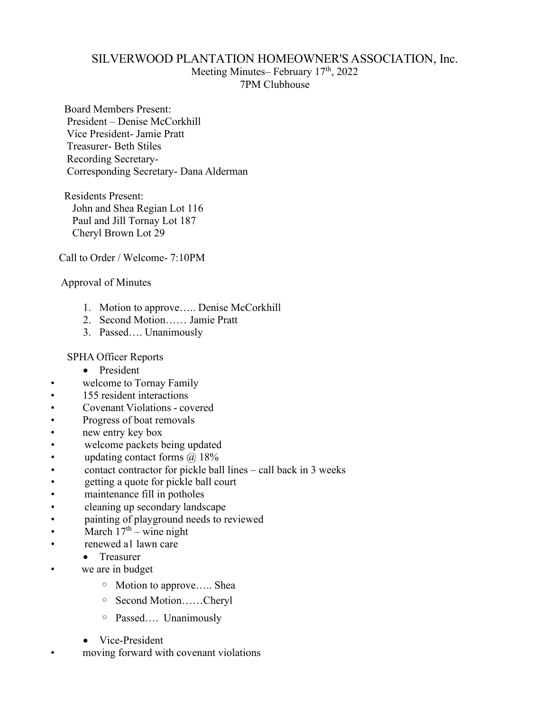## SILVERWOOD PLANTATION HOMEOWNER'S ASSOCIATION, Inc.

Meeting Minutes– February 17<sup>th</sup>, 2022 7PM Clubhouse

Board Members Present: President – Denise McCorkhill Vice President- Jamie Pratt Treasurer- Beth Stiles Recording Secretary-Corresponding Secretary- Dana Alderman

Residents Present: John and Shea Regian Lot 116 Paul and Jill Tornay Lot 187 Cheryl Brown Lot 29

Call to Order / Welcome- 7:10PM

Approval of Minutes

- 1. Motion to approve….. Denise McCorkhill
- 2. Second Motion…… Jamie Pratt
- 3. Passed…. Unanimously

SPHA Officer Reports

- President
- welcome to Tornay Family
- 155 resident interactions
- Covenant Violations covered
- Progress of boat removals
- new entry key box<br>• welcome packets **b**
- welcome packets being updated
- updating contact forms  $\omega$  18%
- contact contractor for pickle ball lines call back in 3 weeks
- getting a quote for pickle ball court
- maintenance fill in potholes
- cleaning up secondary landscape
- painting of playground needs to reviewed
- March  $17<sup>th</sup>$  wine night
- renewed a1 lawn care
	- Treasurer
- we are in budget
	- Motion to approve….. Shea
	- Second Motion……Cheryl
	- Passed…. Unanimously
	- Vice-President
- moving forward with covenant violations